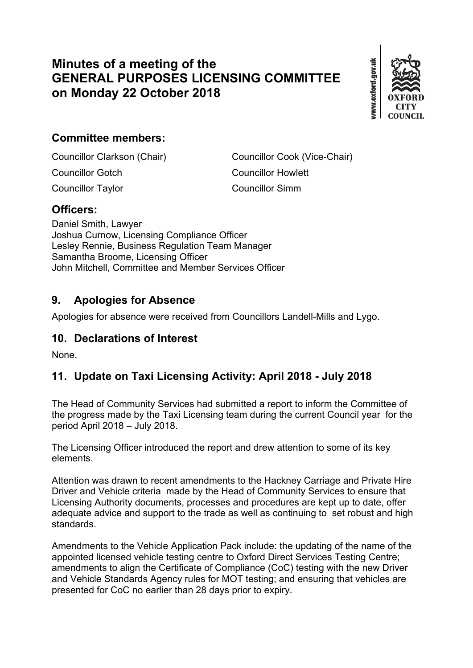# **Minutes of a meeting of the GENERAL PURPOSES LICENSING COMMITTEE on Monday 22 October 2018**



## **Committee members:**

Councillor Gotch Councillor Howlett Councillor Taylor Councillor Simm

Councillor Clarkson (Chair) Councillor Cook (Vice-Chair)

#### **Officers:**

Daniel Smith, Lawyer Joshua Curnow, Licensing Compliance Officer Lesley Rennie, Business Regulation Team Manager Samantha Broome, Licensing Officer John Mitchell, Committee and Member Services Officer

#### **9. Apologies for Absence**

Apologies for absence were received from Councillors Landell-Mills and Lygo.

### **10. Declarations of Interest**

None.

## **11. Update on Taxi Licensing Activity: April 2018 - July 2018**

The Head of Community Services had submitted a report to inform the Committee of the progress made by the Taxi Licensing team during the current Council year for the period April 2018 – July 2018.

The Licensing Officer introduced the report and drew attention to some of its key elements.

Attention was drawn to recent amendments to the Hackney Carriage and Private Hire Driver and Vehicle criteria made by the Head of Community Services to ensure that Licensing Authority documents, processes and procedures are kept up to date, offer adequate advice and support to the trade as well as continuing to set robust and high standards.

Amendments to the Vehicle Application Pack include: the updating of the name of the appointed licensed vehicle testing centre to Oxford Direct Services Testing Centre; amendments to align the Certificate of Compliance (CoC) testing with the new Driver and Vehicle Standards Agency rules for MOT testing; and ensuring that vehicles are presented for CoC no earlier than 28 days prior to expiry.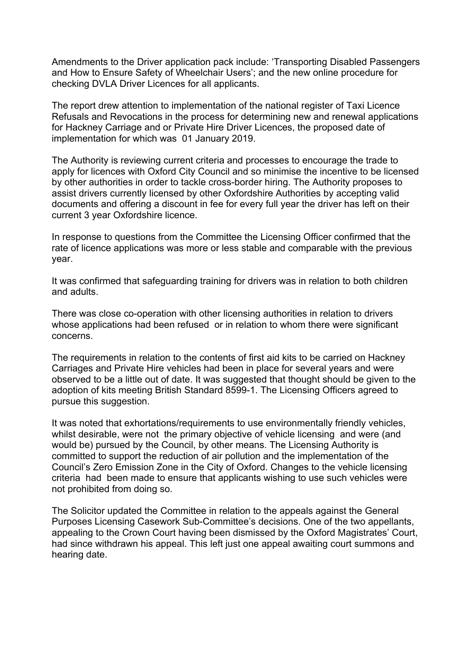Amendments to the Driver application pack include: 'Transporting Disabled Passengers and How to Ensure Safety of Wheelchair Users'; and the new online procedure for checking DVLA Driver Licences for all applicants.

The report drew attention to implementation of the national register of Taxi Licence Refusals and Revocations in the process for determining new and renewal applications for Hackney Carriage and or Private Hire Driver Licences, the proposed date of implementation for which was 01 January 2019.

The Authority is reviewing current criteria and processes to encourage the trade to apply for licences with Oxford City Council and so minimise the incentive to be licensed by other authorities in order to tackle cross-border hiring. The Authority proposes to assist drivers currently licensed by other Oxfordshire Authorities by accepting valid documents and offering a discount in fee for every full year the driver has left on their current 3 year Oxfordshire licence.

In response to questions from the Committee the Licensing Officer confirmed that the rate of licence applications was more or less stable and comparable with the previous year.

It was confirmed that safeguarding training for drivers was in relation to both children and adults.

There was close co-operation with other licensing authorities in relation to drivers whose applications had been refused or in relation to whom there were significant concerns.

The requirements in relation to the contents of first aid kits to be carried on Hackney Carriages and Private Hire vehicles had been in place for several years and were observed to be a little out of date. It was suggested that thought should be given to the adoption of kits meeting British Standard 8599-1. The Licensing Officers agreed to pursue this suggestion.

It was noted that exhortations/requirements to use environmentally friendly vehicles, whilst desirable, were not the primary objective of vehicle licensing and were (and would be) pursued by the Council, by other means. The Licensing Authority is committed to support the reduction of air pollution and the implementation of the Council's Zero Emission Zone in the City of Oxford. Changes to the vehicle licensing criteria had been made to ensure that applicants wishing to use such vehicles were not prohibited from doing so.

The Solicitor updated the Committee in relation to the appeals against the General Purposes Licensing Casework Sub-Committee's decisions. One of the two appellants, appealing to the Crown Court having been dismissed by the Oxford Magistrates' Court, had since withdrawn his appeal. This left just one appeal awaiting court summons and hearing date.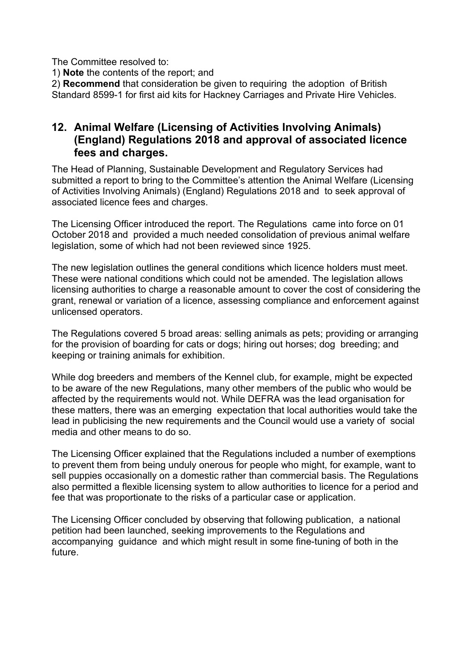The Committee resolved to:

1) **Note** the contents of the report; and

2) **Recommend** that consideration be given to requiring the adoption of British Standard 8599-1 for first aid kits for Hackney Carriages and Private Hire Vehicles.

#### **12. Animal Welfare (Licensing of Activities Involving Animals) (England) Regulations 2018 and approval of associated licence fees and charges.**

The Head of Planning, Sustainable Development and Regulatory Services had submitted a report to bring to the Committee's attention the Animal Welfare (Licensing of Activities Involving Animals) (England) Regulations 2018 and to seek approval of associated licence fees and charges.

The Licensing Officer introduced the report. The Regulations came into force on 01 October 2018 and provided a much needed consolidation of previous animal welfare legislation, some of which had not been reviewed since 1925.

The new legislation outlines the general conditions which licence holders must meet. These were national conditions which could not be amended. The legislation allows licensing authorities to charge a reasonable amount to cover the cost of considering the grant, renewal or variation of a licence, assessing compliance and enforcement against unlicensed operators.

The Regulations covered 5 broad areas: selling animals as pets; providing or arranging for the provision of boarding for cats or dogs; hiring out horses; dog breeding; and keeping or training animals for exhibition.

While dog breeders and members of the Kennel club, for example, might be expected to be aware of the new Regulations, many other members of the public who would be affected by the requirements would not. While DEFRA was the lead organisation for these matters, there was an emerging expectation that local authorities would take the lead in publicising the new requirements and the Council would use a variety of social media and other means to do so.

The Licensing Officer explained that the Regulations included a number of exemptions to prevent them from being unduly onerous for people who might, for example, want to sell puppies occasionally on a domestic rather than commercial basis. The Regulations also permitted a flexible licensing system to allow authorities to licence for a period and fee that was proportionate to the risks of a particular case or application.

The Licensing Officer concluded by observing that following publication, a national petition had been launched, seeking improvements to the Regulations and accompanying guidance and which might result in some fine-tuning of both in the future.